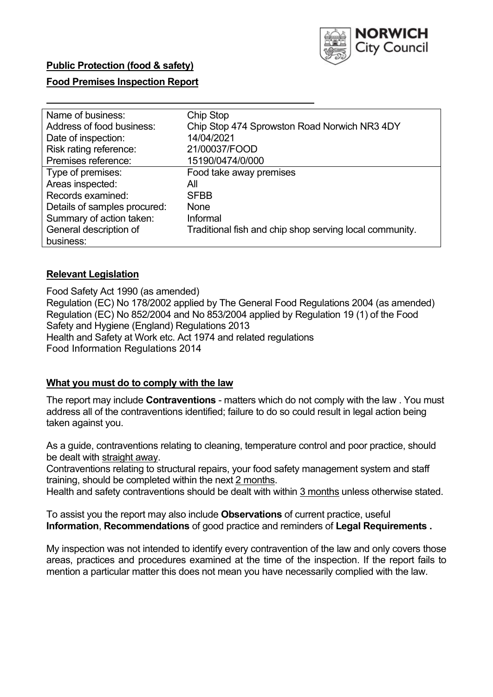

### **Food Premises Inspection Report**

| Name of business:            | Chip Stop                                               |
|------------------------------|---------------------------------------------------------|
| Address of food business:    | Chip Stop 474 Sprowston Road Norwich NR3 4DY            |
| Date of inspection:          | 14/04/2021                                              |
| Risk rating reference:       | 21/00037/FOOD                                           |
| Premises reference:          | 15190/0474/0/000                                        |
| Type of premises:            | Food take away premises                                 |
| Areas inspected:             | All                                                     |
| Records examined:            | <b>SFBB</b>                                             |
| Details of samples procured: | None                                                    |
| Summary of action taken:     | Informal                                                |
| General description of       | Traditional fish and chip shop serving local community. |
| business:                    |                                                         |

#### **Relevant Legislation**

Food Safety Act 1990 (as amended) Regulation (EC) No 178/2002 applied by The General Food Regulations 2004 (as amended) Regulation (EC) No 852/2004 and No 853/2004 applied by Regulation 19 (1) of the Food Safety and Hygiene (England) Regulations 2013 Health and Safety at Work etc. Act 1974 and related regulations Food Information Regulations 2014

#### **What you must do to comply with the law**

 The report may include **Contraventions** - matters which do not comply with the law . You must address all of the contraventions identified; failure to do so could result in legal action being taken against you.

 As a guide, contraventions relating to cleaning, temperature control and poor practice, should be dealt with straight away.

Contraventions relating to structural repairs, your food safety management system and staff training, should be completed within the next 2 months.

Health and safety contraventions should be dealt with within 3 months unless otherwise stated.

To assist you the report may also include **Observations** of current practice, useful **Information**, **Recommendations** of good practice and reminders of **Legal Requirements .** 

 areas, practices and procedures examined at the time of the inspection. If the report fails to My inspection was not intended to identify every contravention of the law and only covers those mention a particular matter this does not mean you have necessarily complied with the law.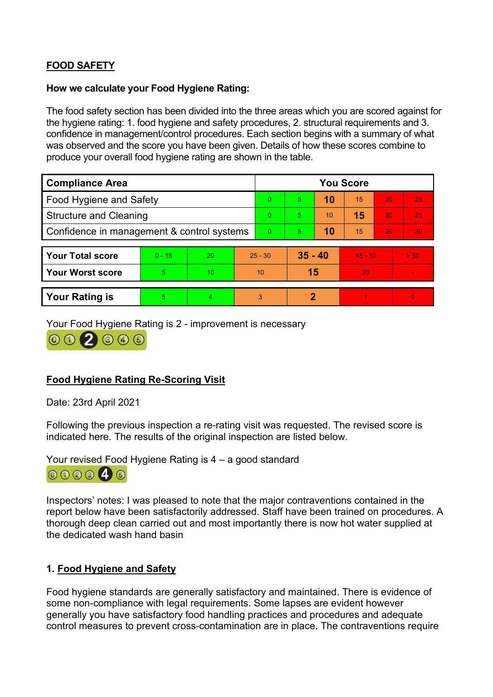# **FOOD SAFETY**

#### **How we calculate your Food Hygiene Rating:**

 The food safety section has been divided into the three areas which you are scored against for the hygiene rating: 1. food hygiene and safety procedures, 2. structural requirements and 3. confidence in management/control procedures. Each section begins with a summary of what was observed and the score you have been given. Details of how these scores combine to produce your overall food hygiene rating are shown in the table.

| <b>Compliance Area</b>                     |          |    |                | <b>You Score</b> |           |    |           |           |                          |  |
|--------------------------------------------|----------|----|----------------|------------------|-----------|----|-----------|-----------|--------------------------|--|
| <b>Food Hygiene and Safety</b>             |          |    |                | $\Omega$         | 5.        | 10 | 15        | <b>20</b> | 25                       |  |
| <b>Structure and Cleaning</b>              |          |    | $\Omega$       | 5.               | 10        | 15 | 20        | 25        |                          |  |
| Confidence in management & control systems |          |    | $\overline{0}$ | 5                | 10        | 15 | 20        | 30        |                          |  |
|                                            |          |    |                |                  |           |    |           |           |                          |  |
| <b>Your Total score</b>                    | $0 - 15$ | 20 |                | $25 - 30$        | $35 - 40$ |    | $45 - 50$ |           | > 50                     |  |
| <b>Your Worst score</b>                    | 5        | 10 |                | 10               | 15        |    | 20        |           | $\overline{\phantom{a}}$ |  |
|                                            |          |    |                |                  |           |    |           |           |                          |  |
| <b>Your Rating is</b>                      | 5        | 4  |                | 3                | 2         |    |           |           | 0                        |  |

Your Food Hygiene Rating is 2 - improvement is necessary

 $002395$ 

### **Food Hygiene Rating Re-Scoring Visit**

Date: 23rd April 2021

Following the previous inspection a re-rating visit was requested. The revised score is indicated here. The results of the original inspection are listed below.

Your revised Food Hygiene Rating is 4 – a good standard



 report below have been satisfactorily addressed. Staff have been trained on procedures. A Inspectors' notes: I was pleased to note that the major contraventions contained in the thorough deep clean carried out and most importantly there is now hot water supplied at the dedicated wash hand basin

### **1. Food Hygiene and Safety**

 some non-compliance with legal requirements. Some lapses are evident however Food hygiene standards are generally satisfactory and maintained. There is evidence of generally you have satisfactory food handling practices and procedures and adequate control measures to prevent cross-contamination are in place. The contraventions require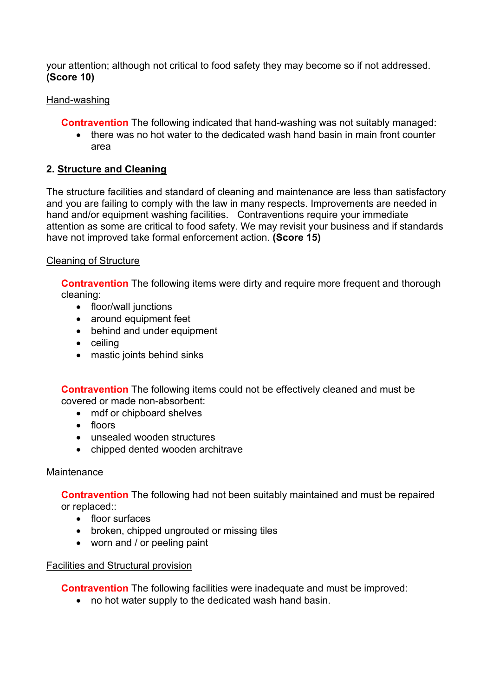your attention; although not critical to food safety they may become so if not addressed. **(Score 10)** 

### Hand-washing

**Contravention** The following indicated that hand-washing was not suitably managed:

• there was no hot water to the dedicated wash hand basin in main front counter area

## **2. Structure and Cleaning**

 hand and/or equipment washing facilities. Contraventions require your immediate The structure facilities and standard of cleaning and maintenance are less than satisfactory and you are failing to comply with the law in many respects. Improvements are needed in attention as some are critical to food safety. We may revisit your business and if standards have not improved take formal enforcement action. **(Score 15)** 

### Cleaning of Structure

**Contravention** The following items were dirty and require more frequent and thorough cleaning:

- floor/wall junctions
- around equipment feet
- behind and under equipment
- ceiling
- mastic joints behind sinks

**Contravention** The following items could not be effectively cleaned and must be covered or made non-absorbent:

- mdf or chipboard shelves
- floors
- unsealed wooden structures
- chipped dented wooden architrave

### **Maintenance**

**Contravention** The following had not been suitably maintained and must be repaired or replaced::

- floor surfaces
- broken, chipped ungrouted or missing tiles
- worn and / or peeling paint

### Facilities and Structural provision

**Contravention** The following facilities were inadequate and must be improved:

• no hot water supply to the dedicated wash hand basin.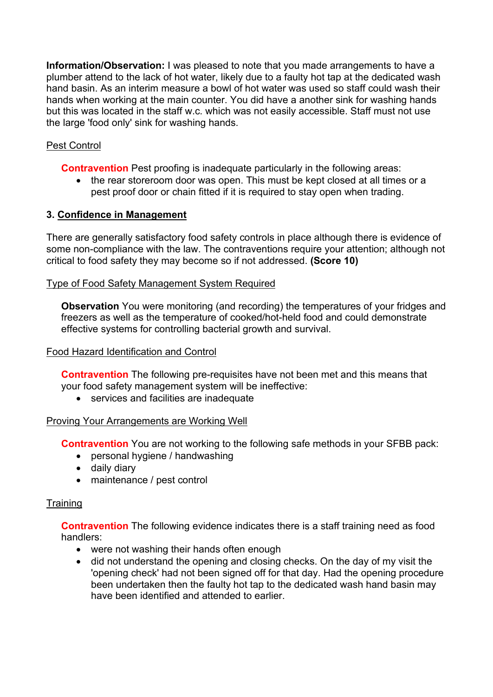but this was located in the staff w.c. which was not easily accessible. Staff must not use **Information/Observation:** I was pleased to note that you made arrangements to have a plumber attend to the lack of hot water, likely due to a faulty hot tap at the dedicated wash hand basin. As an interim measure a bowl of hot water was used so staff could wash their hands when working at the main counter. You did have a another sink for washing hands the large 'food only' sink for washing hands.

# Pest Control

**Contravention** Pest proofing is inadequate particularly in the following areas:

 • the rear storeroom door was open. This must be kept closed at all times or a pest proof door or chain fitted if it is required to stay open when trading.

### **3. Confidence in Management**

There are generally satisfactory food safety controls in place although there is evidence of some non-compliance with the law. The contraventions require your attention; although not critical to food safety they may become so if not addressed. **(Score 10)** 

#### Type of Food Safety Management System Required

**Observation** You were monitoring (and recording) the temperatures of your fridges and freezers as well as the temperature of cooked/hot-held food and could demonstrate effective systems for controlling bacterial growth and survival.

#### Food Hazard Identification and Control

 **Contravention** The following pre-requisites have not been met and this means that your food safety management system will be ineffective:

• services and facilities are inadequate

#### Proving Your Arrangements are Working Well

**Contravention** You are not working to the following safe methods in your SFBB pack:

- personal hygiene / handwashing
- daily diary
- maintenance / pest control

#### **Training**

**Contravention** The following evidence indicates there is a staff training need as food handlers:

- were not washing their hands often enough
- did not understand the opening and closing checks. On the day of my visit the 'opening check' had not been signed off for that day. Had the opening procedure been undertaken then the faulty hot tap to the dedicated wash hand basin may have been identified and attended to earlier.